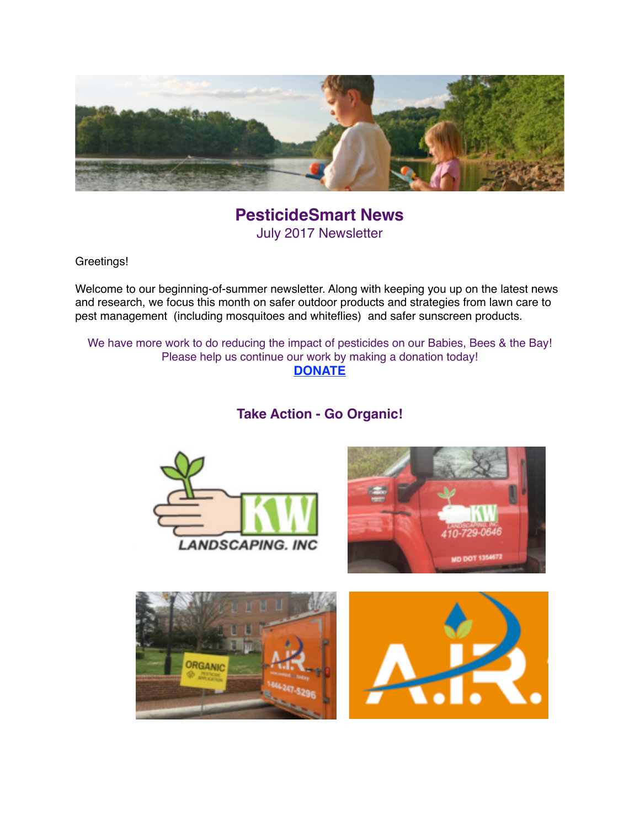

**PesticideSmart News** July 2017 Newsletter

Greetings!

Welcome to our beginning-of-summer newsletter. Along with keeping you up on the latest news and research, we focus this month on safer outdoor products and strategies from lawn care to pest management (including mosquitoes and whiteflies) and safer sunscreen products.

We have more work to do reducing the impact of pesticides on our Babies, Bees & the Bay! Please help us continue our work by making a donation today! **[DONATE](https://donatenow.networkforgood.org/MDSmartonPesticides)**

**Take Action - Go Organic!**





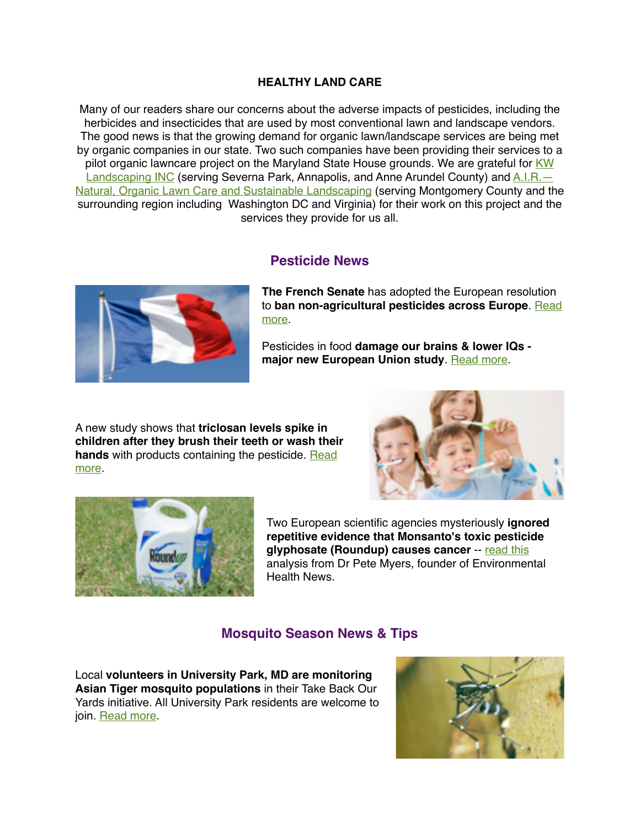#### **HEALTHY LAND CARE**

Many of our readers share our concerns about the adverse impacts of pesticides, including the herbicides and insecticides that are used by most conventional lawn and landscape vendors. The good news is that the growing demand for organic lawn/landscape services are being met by organic companies in our state. Two such companies have been providing their services to a [pilot organic lawncare project on the Maryland State House grounds. We are grateful for KW](http://www.kwlandscaping.com/)  Landscaping INC (serving Severna Park, Annapolis, and Anne Arundel County) and A.I.R. [Natural, Organic Lawn Care and Sustainable Landscaping \(serving Montgomery County and th](http://contactair.today/)e surrounding region including Washington DC and Virginia) for their work on this project and the services they provide for us all.

### **Pesticide News**



**The French Senate** has adopted the European resolution to **[ban non-agricultural pesticides across Europe](http://sustainablepulse.com/2017/06/01/french-senate-adopts-resolution-to-ban-non-agricultural-use-of-pesticides-in-europe/#.WVbB04qQyt-)**. Read more.

Pesticides in food **damage our brains & lower IQs -**  major new European Union study. [Read more.](http://www.independent.co.uk/environment/environment-report-eu-pesticide-link-brain-damage-lower-iq-billions-of-pounds-lost-organic-food-a7771056.html)

A new study shows that **triclosan levels spike in children after they brush their teeth or wash their**  hands with products containing the pesticide. Read more.





Two European scientific agencies mysteriously **ignored repetitive evidence that Monsanto's toxic pesticide glyphosate (Roundup) causes cancer** -- [read this](http://www.environmentalhealthnews.org/ehs/news/2017/june/Glyphosate-Science-Monsanto) analysis from Dr Pete Myers, founder of Environmental Health News.

## **Mosquito Season News & Tips**

Local **volunteers in University Park, MD are monitoring Asian Tiger mosquito populations** in their Take Back Our Yards initiative. All University Park residents are welcome to join. [Read more.](https://sites.google.com/site/mosquitocontrolup/about-the-project)

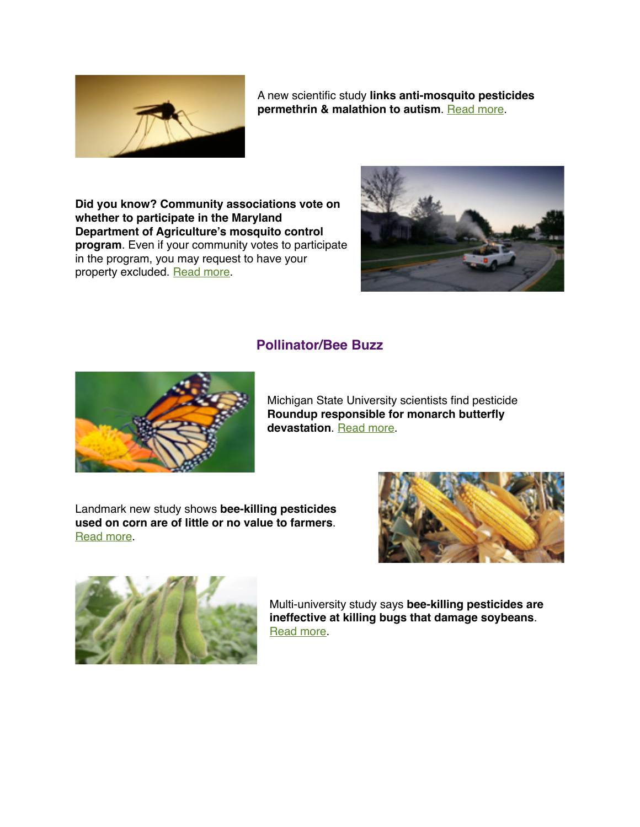

A new scientific study **links anti-mosquito pesticides permethrin & malathion to autism. [Read more](http://www.houstonpress.com/news/mosquito-pesticides-used-locally-linked-to-autism-in-new-study-9520552).** 

**Did you know? Community associations vote on whether to participate in the Maryland Department of Agriculture's mosquito control program**. Even if your community votes to participate in the program, you may request to have your property excluded. [Read more.](http://www.mdpestnet.org/learn/mosquito-management/how-to-exclude-your-property-from-mds-mosquito-control-program/)



## **Pollinator/Bee Buzz**



Michigan State University scientists find pesticide **Roundup responsible for monarch butterfly devastation**. [Read more](http://www.courthousenews.com/study-blames-roundup-monarch-butterfly-deaths/).

Landmark new study shows **bee-killing pesticides used on corn are of little or no value to farmers**. [Read more](https://www.commondreams.org/newswire/2017/05/22/landmark-report-shows-bee-killing-seed-coatings-arent-worth-harm).





Multi-university study says **bee-killing pesticides are ineffective at killing bugs that damage soybeans**. [Read more](https://www.manitobacooperator.ca/crops/u-s-study-questions-neonics-for-soybean-aphid-control/).